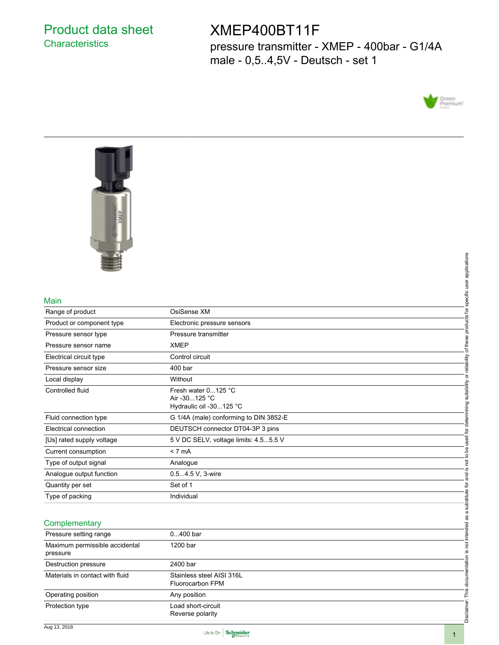## Product data sheet **Characteristics**

# XMEP400BT11F

pressure transmitter - XMEP - 400bar - G1/4A male - 0,5..4,5V - Deutsch - set 1





#### Main

|                                            |                                                                 | specific user applications                                         |
|--------------------------------------------|-----------------------------------------------------------------|--------------------------------------------------------------------|
| Main                                       |                                                                 |                                                                    |
| Range of product                           | OsiSense XM                                                     |                                                                    |
| Product or component type                  | Electronic pressure sensors                                     | products for                                                       |
| Pressure sensor type                       | Pressure transmitter                                            |                                                                    |
| Pressure sensor name                       | <b>XMEP</b>                                                     | of these                                                           |
| Electrical circuit type                    | Control circuit                                                 |                                                                    |
| Pressure sensor size                       | 400 bar                                                         |                                                                    |
| Local display                              | Without                                                         |                                                                    |
| Controlled fluid                           | Fresh water 0125 °C<br>Air -30125 °C<br>Hydraulic oil -30125 °C | is not to be used for determining suitability or reliability       |
| Fluid connection type                      | G 1/4A (male) conforming to DIN 3852-E                          |                                                                    |
| Electrical connection                      | DEUTSCH connector DT04-3P 3 pins                                |                                                                    |
| [Us] rated supply voltage                  | 5 V DC SELV, voltage limits: 4.55.5 V                           |                                                                    |
| Current consumption                        | < 7 mA                                                          |                                                                    |
| Type of output signal                      | Analogue                                                        |                                                                    |
| Analogue output function                   | 0.54.5 V, 3-wire                                                | pa<br>an                                                           |
| Quantity per set                           | Set of 1                                                        |                                                                    |
| Type of packing                            | Individual                                                      |                                                                    |
| Complementary                              |                                                                 | Disclaimer: This documentation is not intended as a substitute for |
| Pressure setting range                     | $0400$ bar                                                      |                                                                    |
| Maximum permissible accidental<br>pressure | 1200 bar                                                        |                                                                    |
| Destruction pressure                       | 2400 bar                                                        |                                                                    |
| Materials in contact with fluid            | Stainless steel AISI 316L<br>Fluorocarbon FPM                   |                                                                    |
| Operating position                         | Any position                                                    |                                                                    |
| Protection type                            | Load short-circuit<br>Reverse polarity                          |                                                                    |

### **Complementary**

| Pressure setting range                     | $0400$ bar                                    |
|--------------------------------------------|-----------------------------------------------|
| Maximum permissible accidental<br>pressure | 1200 bar                                      |
| Destruction pressure                       | 2400 bar                                      |
| Materials in contact with fluid            | Stainless steel AISI 316L<br>Fluorocarbon FPM |
| Operating position                         | Any position                                  |
| Protection type                            | Load short-circuit<br>Reverse polarity        |

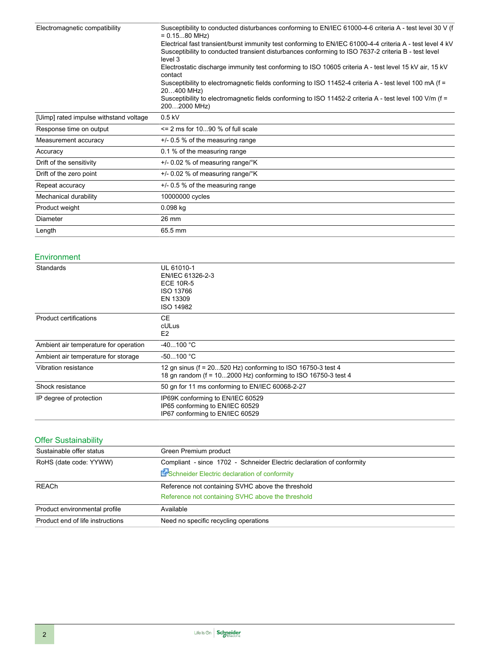| Susceptibility to conducted disturbances conforming to EN/IEC 61000-4-6 criteria A - test level 30 V (f<br>$= 0.1580 \text{ MHz}$                                                                                           |  |  |
|-----------------------------------------------------------------------------------------------------------------------------------------------------------------------------------------------------------------------------|--|--|
| Electrical fast transient/burst immunity test conforming to EN/IEC 61000-4-4 criteria A - test level 4 kV<br>Susceptibility to conducted transient disturbances conforming to ISO 7637-2 criteria B - test level<br>level 3 |  |  |
| Electrostatic discharge immunity test conforming to ISO 10605 criteria A - test level 15 kV air, 15 kV<br>contact                                                                                                           |  |  |
| Susceptibility to electromagnetic fields conforming to ISO 11452-4 criteria A - test level 100 mA (f =<br>20400 MHz)                                                                                                        |  |  |
| Susceptibility to electromagnetic fields conforming to ISO 11452-2 criteria A - test level 100 V/m ( $f =$<br>2002000 MHz)                                                                                                  |  |  |
| $0.5$ kV                                                                                                                                                                                                                    |  |  |
| $\leq$ 2 ms for 1090 % of full scale                                                                                                                                                                                        |  |  |
| $+/-$ 0.5 % of the measuring range                                                                                                                                                                                          |  |  |
| 0.1 % of the measuring range                                                                                                                                                                                                |  |  |
| $+/-$ 0.02 % of measuring range/ $\mathrm{K}$                                                                                                                                                                               |  |  |
| $+/-$ 0.02 % of measuring range/ $\mathrm{K}$                                                                                                                                                                               |  |  |
| $+/-$ 0.5 % of the measuring range                                                                                                                                                                                          |  |  |
| 10000000 cycles                                                                                                                                                                                                             |  |  |
| $0.098$ kg                                                                                                                                                                                                                  |  |  |
| 26 mm                                                                                                                                                                                                                       |  |  |
| 65.5 mm                                                                                                                                                                                                                     |  |  |
|                                                                                                                                                                                                                             |  |  |

#### Environment

| Standards                             | UL 61010-1<br>EN/IEC 61326-2-3<br><b>ECE 10R-5</b><br>ISO 13766<br>EN 13309<br>ISO 14982                                     |
|---------------------------------------|------------------------------------------------------------------------------------------------------------------------------|
| <b>Product certifications</b>         | CE.<br>cULus<br>E <sub>2</sub>                                                                                               |
| Ambient air temperature for operation | $-40100 °C$                                                                                                                  |
| Ambient air temperature for storage   | $-50100 °C$                                                                                                                  |
| Vibration resistance                  | 12 gn sinus (f = 20520 Hz) conforming to ISO 16750-3 test 4<br>18 gn random (f = 102000 Hz) conforming to ISO 16750-3 test 4 |
| Shock resistance                      | 50 gn for 11 ms conforming to EN/IEC 60068-2-27                                                                              |
| IP degree of protection               | IP69K conforming to EN/IEC 60529<br>IP65 conforming to EN/IEC 60529<br>IP67 conforming to EN/IEC 60529                       |

## Offer Sustainability

| Sustainable offer status         | Green Premium product                                                                                                 |
|----------------------------------|-----------------------------------------------------------------------------------------------------------------------|
| RoHS (date code: YYWW)           | Compliant - since 1702 - Schneider Electric declaration of conformity<br>Schneider Electric declaration of conformity |
| REACh                            | Reference not containing SVHC above the threshold<br>Reference not containing SVHC above the threshold                |
| Product environmental profile    | Available                                                                                                             |
| Product end of life instructions | Need no specific recycling operations                                                                                 |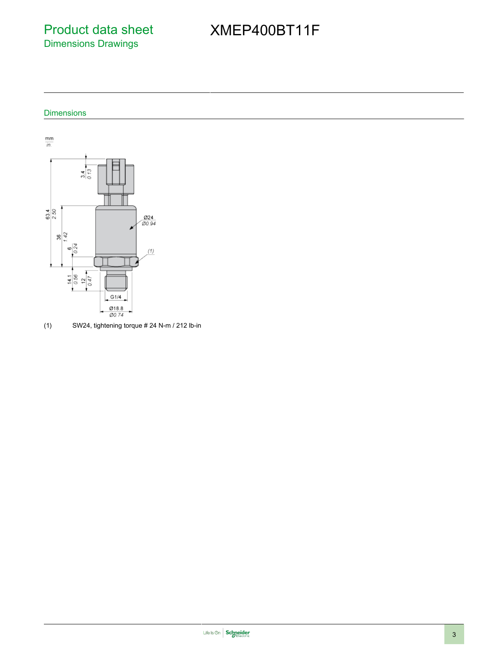Product data sheet Dimensions Drawings

# XMEP400BT11F

## Dimensions



(1) SW24, tightening torque  $# 24$  N-m / 212 lb-in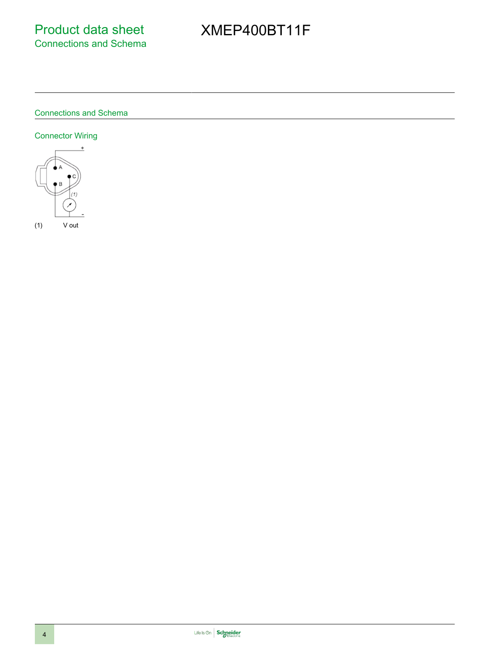# XMEP400BT11F

## Connections and Schema

## Connector Wiring